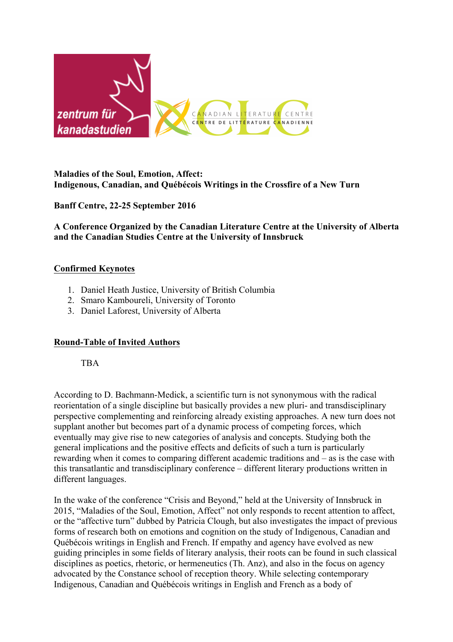

#### **Maladies of the Soul, Emotion, Affect: Indigenous, Canadian, and Québécois Writings in the Crossfire of a New Turn**

## **Banff Centre, 22-25 September 2016**

**A Conference Organized by the Canadian Literature Centre at the University of Alberta and the Canadian Studies Centre at the University of Innsbruck**

### **Confirmed Keynotes**

- 1. Daniel Heath Justice, University of British Columbia
- 2. Smaro Kamboureli, University of Toronto
- 3. Daniel Laforest, University of Alberta

### **Round-Table of Invited Authors**

TBA

According to D. Bachmann-Medick, a scientific turn is not synonymous with the radical reorientation of a single discipline but basically provides a new pluri- and transdisciplinary perspective complementing and reinforcing already existing approaches. A new turn does not supplant another but becomes part of a dynamic process of competing forces, which eventually may give rise to new categories of analysis and concepts. Studying both the general implications and the positive effects and deficits of such a turn is particularly rewarding when it comes to comparing different academic traditions and – as is the case with this transatlantic and transdisciplinary conference – different literary productions written in different languages.

In the wake of the conference "Crisis and Beyond," held at the University of Innsbruck in 2015, "Maladies of the Soul, Emotion, Affect" not only responds to recent attention to affect, or the "affective turn" dubbed by Patricia Clough, but also investigates the impact of previous forms of research both on emotions and cognition on the study of Indigenous, Canadian and Québécois writings in English and French. If empathy and agency have evolved as new guiding principles in some fields of literary analysis, their roots can be found in such classical disciplines as poetics, rhetoric, or hermeneutics (Th. Anz), and also in the focus on agency advocated by the Constance school of reception theory. While selecting contemporary Indigenous, Canadian and Québécois writings in English and French as a body of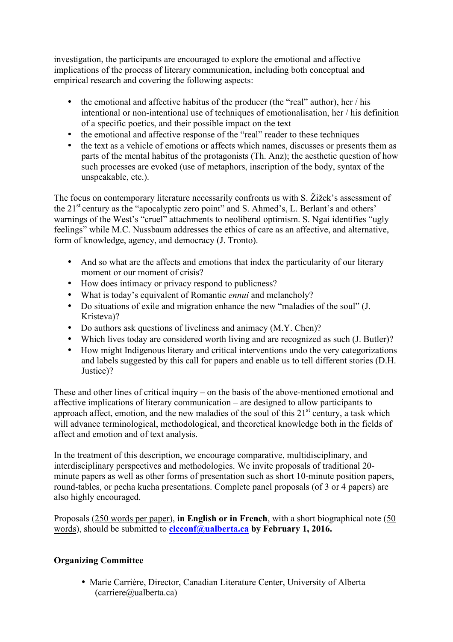investigation, the participants are encouraged to explore the emotional and affective implications of the process of literary communication, including both conceptual and empirical research and covering the following aspects:

- the emotional and affective habitus of the producer (the "real" author), her / his intentional or non-intentional use of techniques of emotionalisation, her / his definition of a specific poetics, and their possible impact on the text
- the emotional and affective response of the "real" reader to these techniques
- the text as a vehicle of emotions or affects which names, discusses or presents them as parts of the mental habitus of the protagonists (Th. Anz); the aesthetic question of how such processes are evoked (use of metaphors, inscription of the body, syntax of the unspeakable, etc.).

The focus on contemporary literature necessarily confronts us with S. Žižek's assessment of the 21<sup>st</sup> century as the "apocalyptic zero point" and S. Ahmed's, L. Berlant's and others' warnings of the West's "cruel" attachments to neoliberal optimism. S. Ngai identifies "ugly feelings" while M.C. Nussbaum addresses the ethics of care as an affective, and alternative, form of knowledge, agency, and democracy (J. Tronto).

- And so what are the affects and emotions that index the particularity of our literary moment or our moment of crisis?
- How does intimacy or privacy respond to publicness?
- What is today's equivalent of Romantic *ennui* and melancholy?
- Do situations of exile and migration enhance the new "maladies of the soul" (J. Kristeva)?
- Do authors ask questions of liveliness and animacy (M.Y. Chen)?
- Which lives today are considered worth living and are recognized as such (J. Butler)?
- How might Indigenous literary and critical interventions undo the very categorizations and labels suggested by this call for papers and enable us to tell different stories (D.H. Justice)?

These and other lines of critical inquiry – on the basis of the above-mentioned emotional and affective implications of literary communication – are designed to allow participants to approach affect, emotion, and the new maladies of the soul of this  $21<sup>st</sup>$  century, a task which will advance terminological, methodological, and theoretical knowledge both in the fields of affect and emotion and of text analysis.

In the treatment of this description, we encourage comparative, multidisciplinary, and interdisciplinary perspectives and methodologies. We invite proposals of traditional 20 minute papers as well as other forms of presentation such as short 10-minute position papers, round-tables, or pecha kucha presentations. Complete panel proposals (of 3 or 4 papers) are also highly encouraged.

Proposals (250 words per paper), **in English or in French**, with a short biographical note (50 words), should be submitted to **clcconf@ualberta.ca by February 1, 2016.** 

# **Organizing Committee**

• Marie Carrière, Director, Canadian Literature Center, University of Alberta (carriere@ualberta.ca)